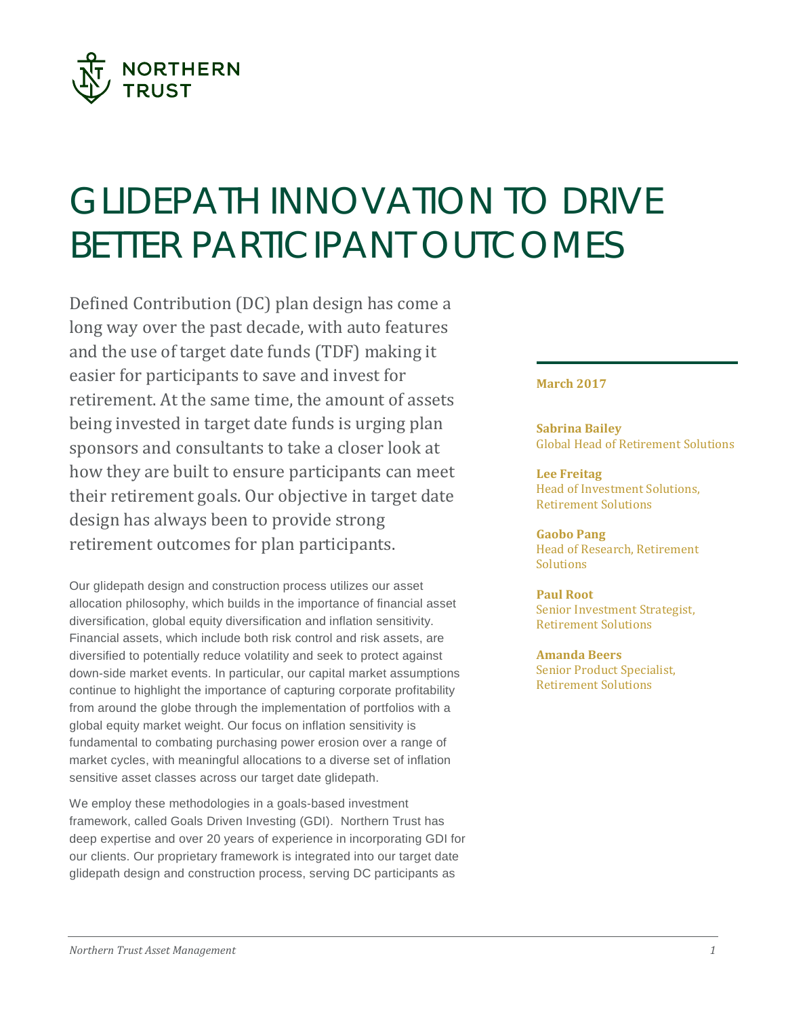

# GLIDEPATH INNOVATION TO DRIVE BETTER PARTICIPANT OUTCOMES

Defined Contribution (DC) plan design has come a long way over the past decade, with auto features and the use of target date funds (TDF) making it easier for participants to save and invest for retirement. At the same time, the amount of assets being invested in target date funds is urging plan sponsors and consultants to take a closer look at how they are built to ensure participants can meet their retirement goals. Our objective in target date design has always been to provide strong retirement outcomes for plan participants.

Our glidepath design and construction process utilizes our asset allocation philosophy, which builds in the importance of financial asset diversification, global equity diversification and inflation sensitivity. Financial assets, which include both risk control and risk assets, are diversified to potentially reduce volatility and seek to protect against down-side market events. In particular, our capital market assumptions continue to highlight the importance of capturing corporate profitability from around the globe through the implementation of portfolios with a global equity market weight. Our focus on inflation sensitivity is fundamental to combating purchasing power erosion over a range of market cycles, with meaningful allocations to a diverse set of inflation sensitive asset classes across our target date glidepath.

We employ these methodologies in a goals-based investment framework, called Goals Driven Investing (GDI). Northern Trust has deep expertise and over 20 years of experience in incorporating GDI for our clients. Our proprietary framework is integrated into our target date glidepath design and construction process, serving DC participants as

# **March 2017**

**Sabrina Bailey** Global Head of Retirement Solutions

**Lee Freitag** Head of Investment Solutions, Retirement Solutions

**Gaobo Pang** Head of Research, Retirement **Solutions** 

**Paul Root** Senior Investment Strategist, Retirement Solutions

**Amanda Beers** Senior Product Specialist, Retirement Solutions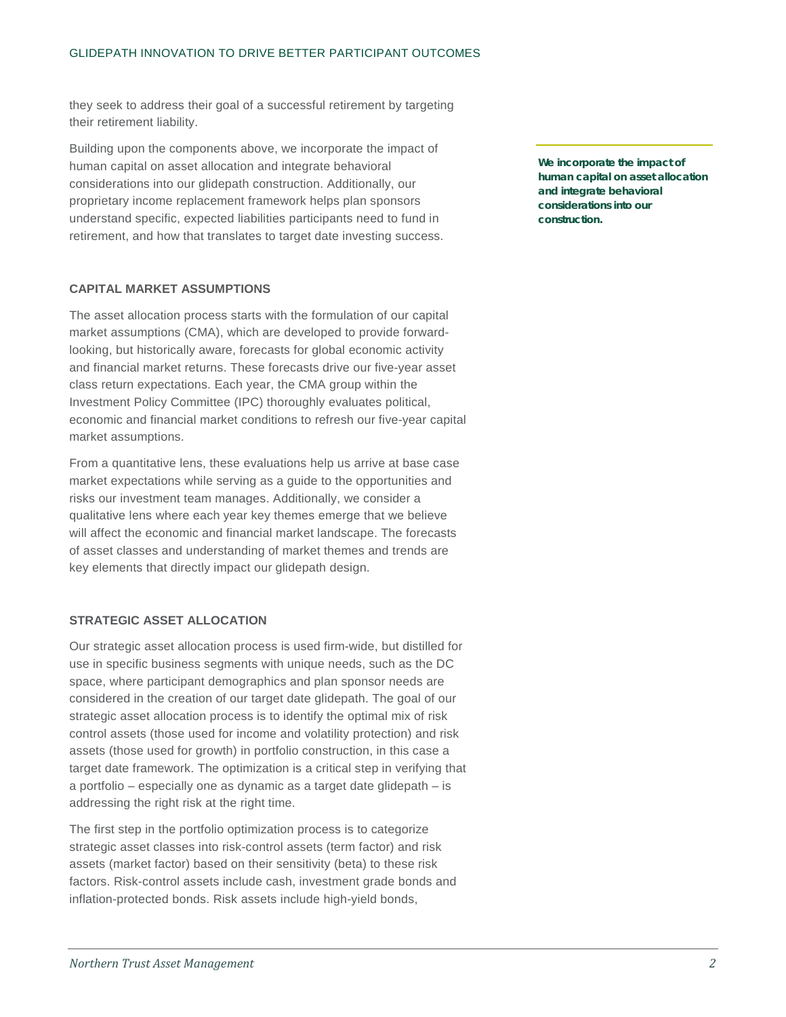they seek to address their goal of a successful retirement by targeting their retirement liability.

Building upon the components above, we incorporate the impact of human capital on asset allocation and integrate behavioral considerations into our glidepath construction. Additionally, our proprietary income replacement framework helps plan sponsors understand specific, expected liabilities participants need to fund in retirement, and how that translates to target date investing success.

# **CAPITAL MARKET ASSUMPTIONS**

The asset allocation process starts with the formulation of our capital market assumptions (CMA), which are developed to provide forwardlooking, but historically aware, forecasts for global economic activity and financial market returns. These forecasts drive our five-year asset class return expectations. Each year, the CMA group within the Investment Policy Committee (IPC) thoroughly evaluates political, economic and financial market conditions to refresh our five-year capital market assumptions.

From a quantitative lens, these evaluations help us arrive at base case market expectations while serving as a guide to the opportunities and risks our investment team manages. Additionally, we consider a qualitative lens where each year key themes emerge that we believe will affect the economic and financial market landscape. The forecasts of asset classes and understanding of market themes and trends are key elements that directly impact our glidepath design.

# **STRATEGIC ASSET ALLOCATION**

Our strategic asset allocation process is used firm-wide, but distilled for use in specific business segments with unique needs, such as the DC space, where participant demographics and plan sponsor needs are considered in the creation of our target date glidepath. The goal of our strategic asset allocation process is to identify the optimal mix of risk control assets (those used for income and volatility protection) and risk assets (those used for growth) in portfolio construction, in this case a target date framework. The optimization is a critical step in verifying that a portfolio – especially one as dynamic as a target date glidepath – is addressing the right risk at the right time.

The first step in the portfolio optimization process is to categorize strategic asset classes into risk-control assets (term factor) and risk assets (market factor) based on their sensitivity (beta) to these risk factors. Risk-control assets include cash, investment grade bonds and inflation-protected bonds. Risk assets include high-yield bonds,

**We incorporate the impact of human capital on asset allocation and integrate behavioral considerations into our construction.**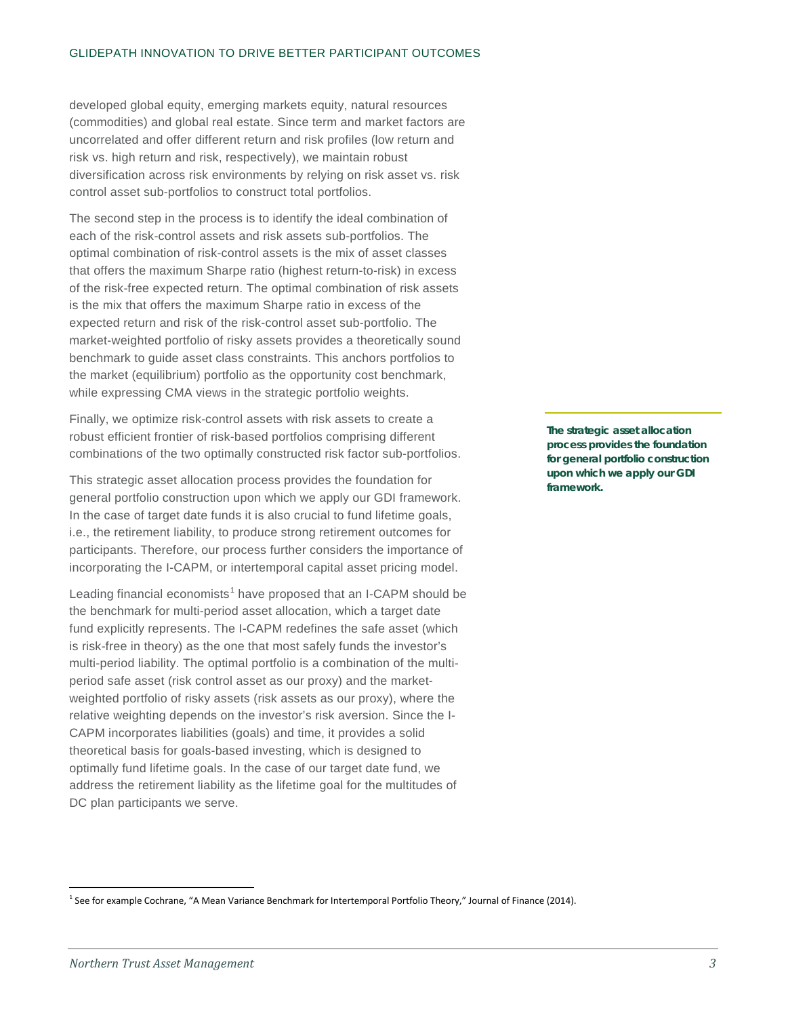developed global equity, emerging markets equity, natural resources (commodities) and global real estate. Since term and market factors are uncorrelated and offer different return and risk profiles (low return and risk vs. high return and risk, respectively), we maintain robust diversification across risk environments by relying on risk asset vs. risk control asset sub-portfolios to construct total portfolios.

The second step in the process is to identify the ideal combination of each of the risk-control assets and risk assets sub-portfolios. The optimal combination of risk-control assets is the mix of asset classes that offers the maximum Sharpe ratio (highest return-to-risk) in excess of the risk-free expected return. The optimal combination of risk assets is the mix that offers the maximum Sharpe ratio in excess of the expected return and risk of the risk-control asset sub-portfolio. The market-weighted portfolio of risky assets provides a theoretically sound benchmark to guide asset class constraints. This anchors portfolios to the market (equilibrium) portfolio as the opportunity cost benchmark, while expressing CMA views in the strategic portfolio weights.

Finally, we optimize risk-control assets with risk assets to create a robust efficient frontier of risk-based portfolios comprising different combinations of the two optimally constructed risk factor sub-portfolios.

This strategic asset allocation process provides the foundation for general portfolio construction upon which we apply our GDI framework. In the case of target date funds it is also crucial to fund lifetime goals, i.e., the retirement liability, to produce strong retirement outcomes for participants. Therefore, our process further considers the importance of incorporating the I-CAPM, or intertemporal capital asset pricing model.

Leading financial economists<sup>[1](#page-2-0)</sup> have proposed that an I-CAPM should be the benchmark for multi-period asset allocation, which a target date fund explicitly represents. The I-CAPM redefines the safe asset (which is risk-free in theory) as the one that most safely funds the investor's multi-period liability. The optimal portfolio is a combination of the multiperiod safe asset (risk control asset as our proxy) and the marketweighted portfolio of risky assets (risk assets as our proxy), where the relative weighting depends on the investor's risk aversion. Since the I-CAPM incorporates liabilities (goals) and time, it provides a solid theoretical basis for goals-based investing, which is designed to optimally fund lifetime goals. In the case of our target date fund, we address the retirement liability as the lifetime goal for the multitudes of DC plan participants we serve.

**The strategic asset allocation process provides the foundation for general portfolio construction upon which we apply our GDI framework.** 

<span id="page-2-0"></span><sup>&</sup>lt;sup>1</sup> See for example Cochrane, "A Mean Variance Benchmark for Intertemporal Portfolio Theory," Journal of Finance (2014).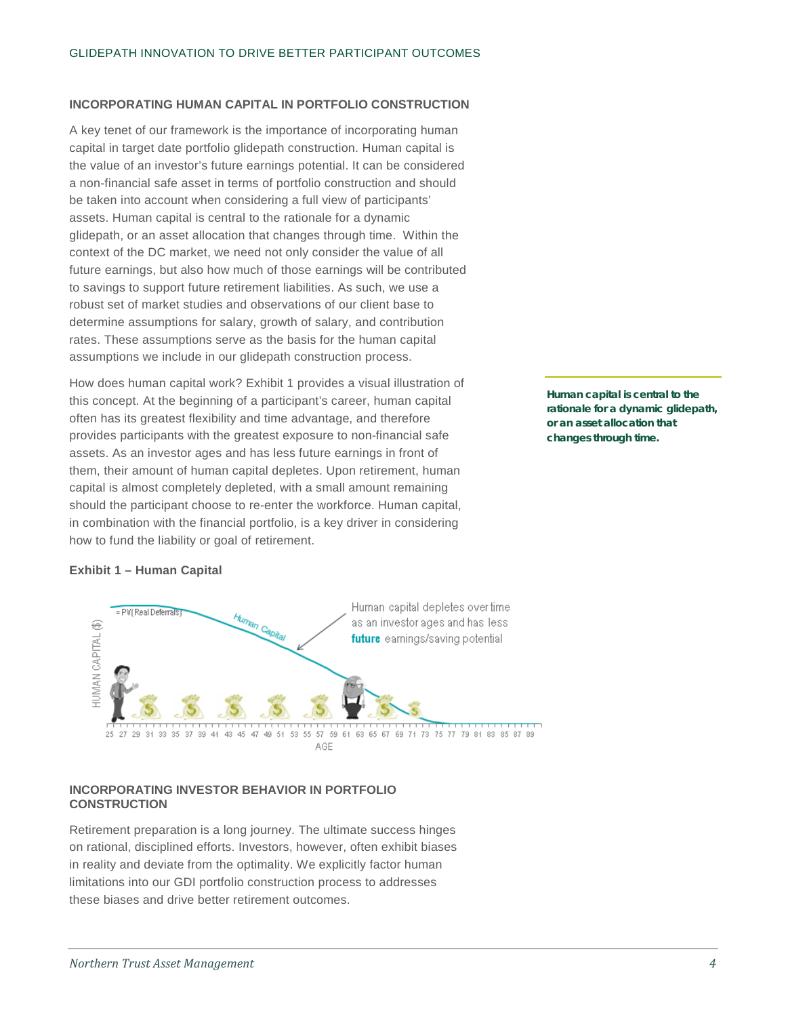## **INCORPORATING HUMAN CAPITAL IN PORTFOLIO CONSTRUCTION**

A key tenet of our framework is the importance of incorporating human capital in target date portfolio glidepath construction. Human capital is the value of an investor's future earnings potential. It can be considered a non-financial safe asset in terms of portfolio construction and should be taken into account when considering a full view of participants' assets. Human capital is central to the rationale for a dynamic glidepath, or an asset allocation that changes through time. Within the context of the DC market, we need not only consider the value of all future earnings, but also how much of those earnings will be contributed to savings to support future retirement liabilities. As such, we use a robust set of market studies and observations of our client base to determine assumptions for salary, growth of salary, and contribution rates. These assumptions serve as the basis for the human capital assumptions we include in our glidepath construction process.

How does human capital work? Exhibit 1 provides a visual illustration of this concept. At the beginning of a participant's career, human capital often has its greatest flexibility and time advantage, and therefore provides participants with the greatest exposure to non-financial safe assets. As an investor ages and has less future earnings in front of them, their amount of human capital depletes. Upon retirement, human capital is almost completely depleted, with a small amount remaining should the participant choose to re-enter the workforce. Human capital, in combination with the financial portfolio, is a key driver in considering how to fund the liability or goal of retirement.

**Human capital is central to the rationale for a dynamic glidepath, or an asset allocation that changes through time.** 

# **Exhibit 1 – Human Capital**



## **INCORPORATING INVESTOR BEHAVIOR IN PORTFOLIO CONSTRUCTION**

Retirement preparation is a long journey. The ultimate success hinges on rational, disciplined efforts. Investors, however, often exhibit biases in reality and deviate from the optimality. We explicitly factor human limitations into our GDI portfolio construction process to addresses these biases and drive better retirement outcomes.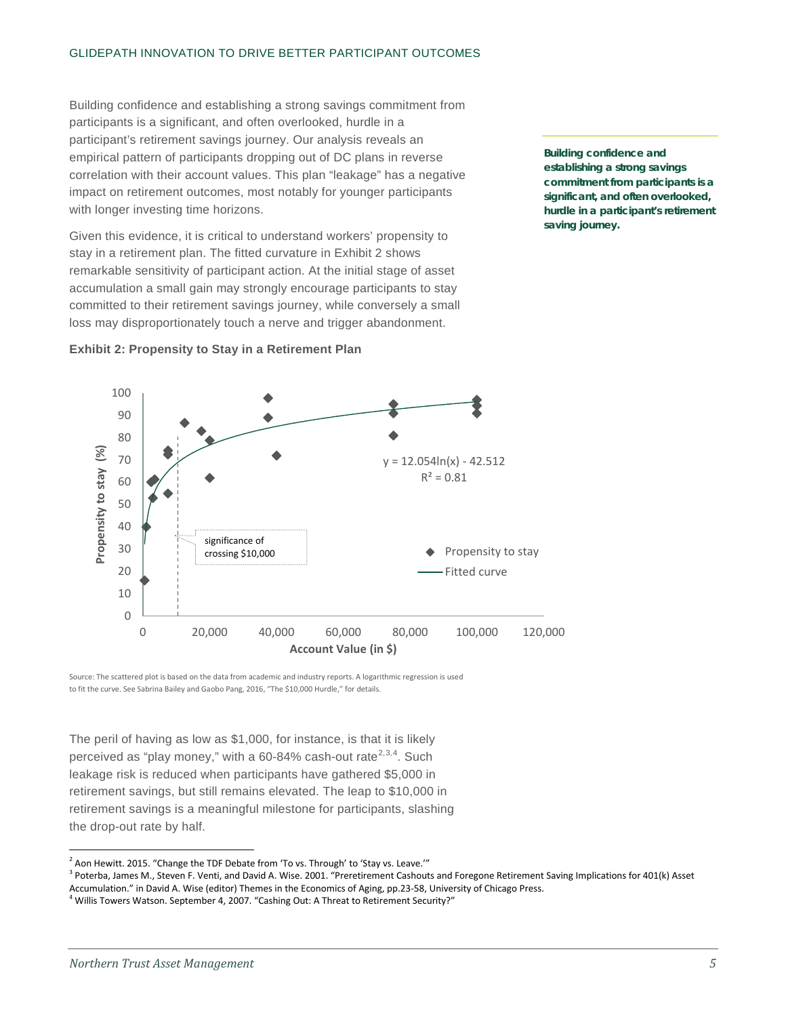Building confidence and establishing a strong savings commitment from participants is a significant, and often overlooked, hurdle in a participant's retirement savings journey. Our analysis reveals an empirical pattern of participants dropping out of DC plans in reverse correlation with their account values. This plan "leakage" has a negative impact on retirement outcomes, most notably for younger participants with longer investing time horizons.

Given this evidence, it is critical to understand workers' propensity to stay in a retirement plan. The fitted curvature in Exhibit 2 shows remarkable sensitivity of participant action. At the initial stage of asset accumulation a small gain may strongly encourage participants to stay committed to their retirement savings journey, while conversely a small loss may disproportionately touch a nerve and trigger abandonment.

**Building confidence and establishing a strong savings commitment from participants is a significant, and often overlooked, hurdle in a participant's retirement saving journey.**



## **Exhibit 2: Propensity to Stay in a Retirement Plan**

Source: The scattered plot is based on the data from academic and industry reports. A logarithmic regression is used to fit the curve. See Sabrina Bailey and Gaobo Pang, 2016, "The \$10,000 Hurdle," for details.

The peril of having as low as \$1,000, for instance, is that it is likely perceived as "play money," with a 60-84% cash-out rate<sup>[2](#page-4-0),[3,](#page-4-1)[4](#page-4-2)</sup>. Such leakage risk is reduced when participants have gathered \$5,000 in retirement savings, but still remains elevated. The leap to \$10,000 in retirement savings is a meaningful milestone for participants, slashing the drop-out rate by half.

<span id="page-4-1"></span><sup>3</sup> Poterba, James M., Steven F. Venti, and David A. Wise. 2001. "Preretirement Cashouts and Foregone Retirement Saving Implications for 401(k) Asset<br>Accumulation." in David A. Wise (editor) Themes in the Economics of Agin

<span id="page-4-2"></span> $4$  Willis Towers Watson. September 4, 2007. "Cashing Out: A Threat to Retirement Security?"

<span id="page-4-0"></span> $2$  Aon Hewitt. 2015. "Change the TDF Debate from 'To vs. Through' to 'Stay vs. Leave.""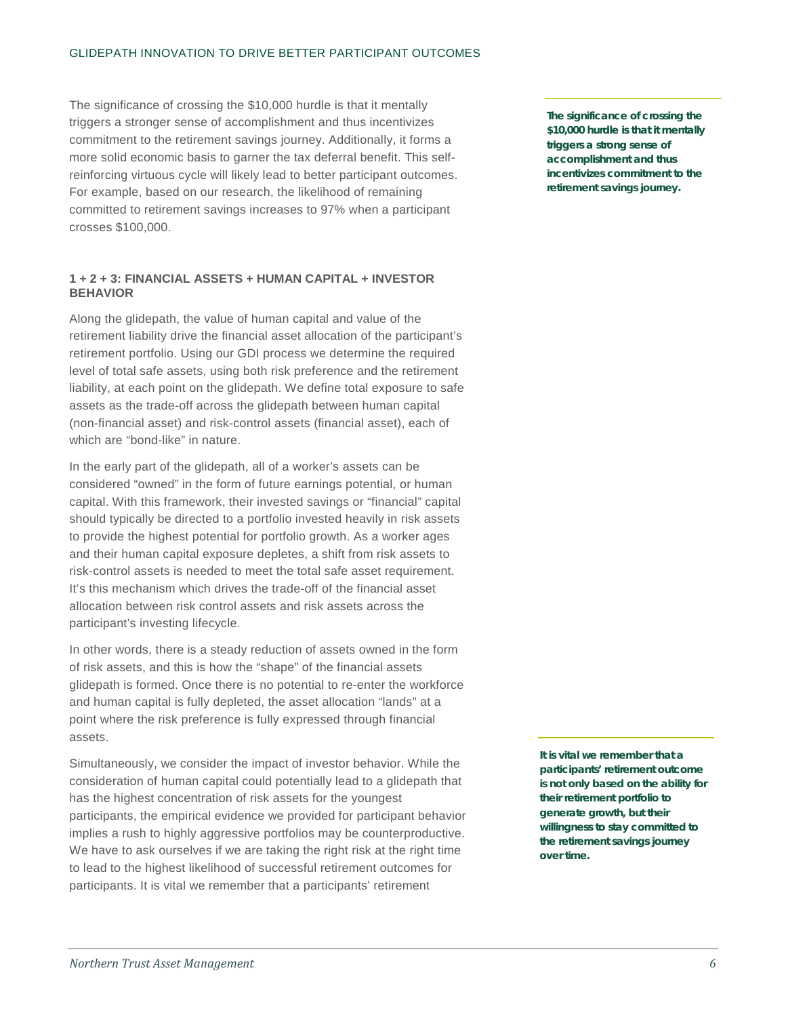## GLIDEPATH INNOVATION TO DRIVE BETTER PARTICIPANT OUTCOMES

The significance of crossing the \$10,000 hurdle is that it mentally triggers a stronger sense of accomplishment and thus incentivizes commitment to the retirement savings journey. Additionally, it forms a more solid economic basis to garner the tax deferral benefit. This selfreinforcing virtuous cycle will likely lead to better participant outcomes. For example, based on our research, the likelihood of remaining committed to retirement savings increases to 97% when a participant crosses \$100,000.

## **1 + 2 + 3: FINANCIAL ASSETS + HUMAN CAPITAL + INVESTOR BEHAVIOR**

Along the glidepath, the value of human capital and value of the retirement liability drive the financial asset allocation of the participant's retirement portfolio. Using our GDI process we determine the required level of total safe assets, using both risk preference and the retirement liability, at each point on the glidepath. We define total exposure to safe assets as the trade-off across the glidepath between human capital (non-financial asset) and risk-control assets (financial asset), each of which are "bond-like" in nature.

In the early part of the glidepath, all of a worker's assets can be considered "owned" in the form of future earnings potential, or human capital. With this framework, their invested savings or "financial" capital should typically be directed to a portfolio invested heavily in risk assets to provide the highest potential for portfolio growth. As a worker ages and their human capital exposure depletes, a shift from risk assets to risk-control assets is needed to meet the total safe asset requirement. It's this mechanism which drives the trade-off of the financial asset allocation between risk control assets and risk assets across the participant's investing lifecycle.

In other words, there is a steady reduction of assets owned in the form of risk assets, and this is how the "shape" of the financial assets glidepath is formed. Once there is no potential to re-enter the workforce and human capital is fully depleted, the asset allocation "lands" at a point where the risk preference is fully expressed through financial assets.

Simultaneously, we consider the impact of investor behavior. While the consideration of human capital could potentially lead to a glidepath that has the highest concentration of risk assets for the youngest participants, the empirical evidence we provided for participant behavior implies a rush to highly aggressive portfolios may be counterproductive. We have to ask ourselves if we are taking the right risk at the right time to lead to the highest likelihood of successful retirement outcomes for participants. It is vital we remember that a participants' retirement

**The significance of crossing the \$10,000 hurdle is that it mentally triggers a strong sense of accomplishment and thus incentivizes commitment to the retirement savings journey.**

**It is vital we remember that a participants' retirement outcome is not only based on the ability for their retirement portfolio to generate growth, but their willingness to stay committed to the retirement savings journey over time.**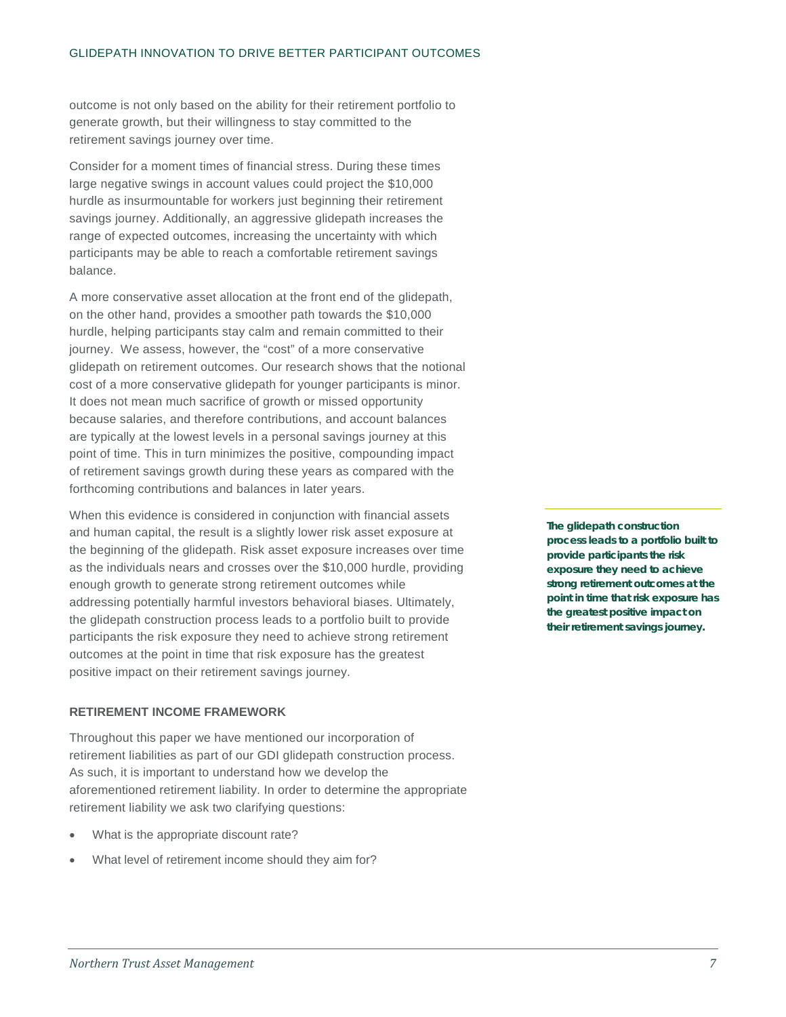outcome is not only based on the ability for their retirement portfolio to generate growth, but their willingness to stay committed to the retirement savings journey over time.

Consider for a moment times of financial stress. During these times large negative swings in account values could project the \$10,000 hurdle as insurmountable for workers just beginning their retirement savings journey. Additionally, an aggressive glidepath increases the range of expected outcomes, increasing the uncertainty with which participants may be able to reach a comfortable retirement savings balance.

A more conservative asset allocation at the front end of the glidepath, on the other hand, provides a smoother path towards the \$10,000 hurdle, helping participants stay calm and remain committed to their journey. We assess, however, the "cost" of a more conservative glidepath on retirement outcomes. Our research shows that the notional cost of a more conservative glidepath for younger participants is minor. It does not mean much sacrifice of growth or missed opportunity because salaries, and therefore contributions, and account balances are typically at the lowest levels in a personal savings journey at this point of time. This in turn minimizes the positive, compounding impact of retirement savings growth during these years as compared with the forthcoming contributions and balances in later years.

When this evidence is considered in conjunction with financial assets and human capital, the result is a slightly lower risk asset exposure at the beginning of the glidepath. Risk asset exposure increases over time as the individuals nears and crosses over the \$10,000 hurdle, providing enough growth to generate strong retirement outcomes while addressing potentially harmful investors behavioral biases. Ultimately, the glidepath construction process leads to a portfolio built to provide participants the risk exposure they need to achieve strong retirement outcomes at the point in time that risk exposure has the greatest positive impact on their retirement savings journey.

## **RETIREMENT INCOME FRAMEWORK**

Throughout this paper we have mentioned our incorporation of retirement liabilities as part of our GDI glidepath construction process. As such, it is important to understand how we develop the aforementioned retirement liability. In order to determine the appropriate retirement liability we ask two clarifying questions:

- What is the appropriate discount rate?
- What level of retirement income should they aim for?

**The glidepath construction process leads to a portfolio built to provide participants the risk exposure they need to achieve strong retirement outcomes at the point in time that risk exposure has the greatest positive impact on their retirement savings journey.**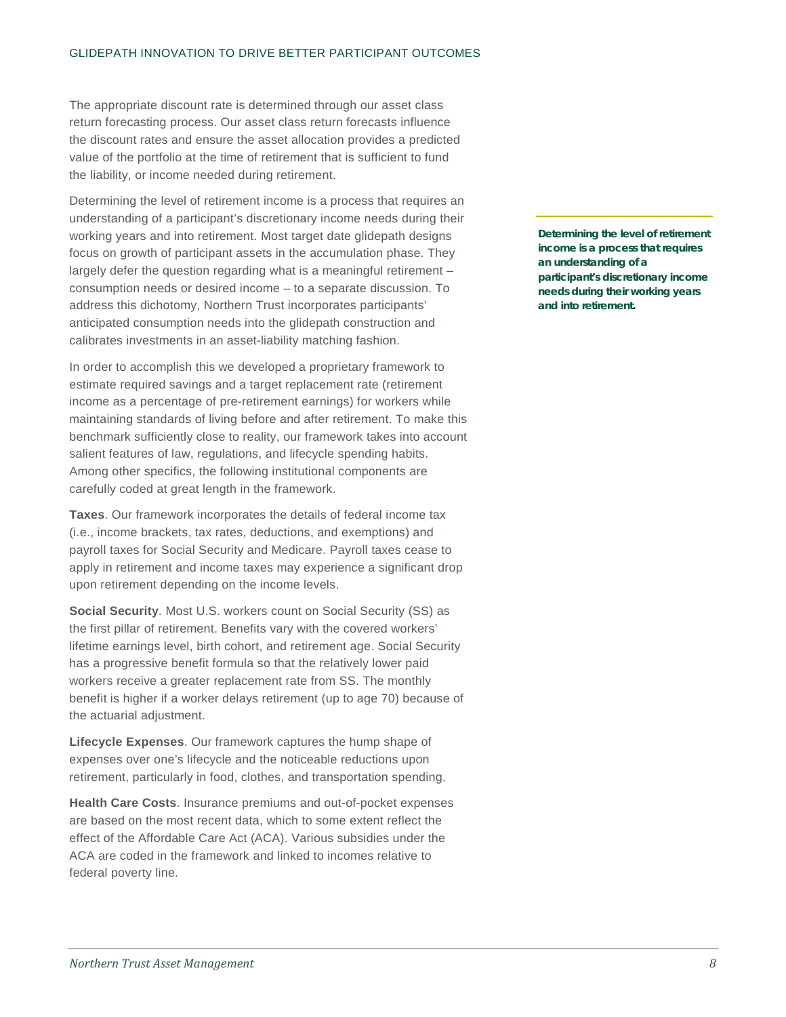The appropriate discount rate is determined through our asset class return forecasting process. Our asset class return forecasts influence the discount rates and ensure the asset allocation provides a predicted value of the portfolio at the time of retirement that is sufficient to fund the liability, or income needed during retirement.

Determining the level of retirement income is a process that requires an understanding of a participant's discretionary income needs during their working years and into retirement. Most target date glidepath designs focus on growth of participant assets in the accumulation phase. They largely defer the question regarding what is a meaningful retirement – consumption needs or desired income – to a separate discussion. To address this dichotomy, Northern Trust incorporates participants' anticipated consumption needs into the glidepath construction and calibrates investments in an asset-liability matching fashion.

In order to accomplish this we developed a proprietary framework to estimate required savings and a target replacement rate (retirement income as a percentage of pre-retirement earnings) for workers while maintaining standards of living before and after retirement. To make this benchmark sufficiently close to reality, our framework takes into account salient features of law, regulations, and lifecycle spending habits. Among other specifics, the following institutional components are carefully coded at great length in the framework.

**Taxes**. Our framework incorporates the details of federal income tax (i.e., income brackets, tax rates, deductions, and exemptions) and payroll taxes for Social Security and Medicare. Payroll taxes cease to apply in retirement and income taxes may experience a significant drop upon retirement depending on the income levels.

**Social Security**. Most U.S. workers count on Social Security (SS) as the first pillar of retirement. Benefits vary with the covered workers' lifetime earnings level, birth cohort, and retirement age. Social Security has a progressive benefit formula so that the relatively lower paid workers receive a greater replacement rate from SS. The monthly benefit is higher if a worker delays retirement (up to age 70) because of the actuarial adjustment.

**Lifecycle Expenses**. Our framework captures the hump shape of expenses over one's lifecycle and the noticeable reductions upon retirement, particularly in food, clothes, and transportation spending.

**Health Care Costs**. Insurance premiums and out-of-pocket expenses are based on the most recent data, which to some extent reflect the effect of the Affordable Care Act (ACA). Various subsidies under the ACA are coded in the framework and linked to incomes relative to federal poverty line.

**Determining the level of retirement income is a process that requires an understanding of a participant's discretionary income needs during their working years and into retirement.**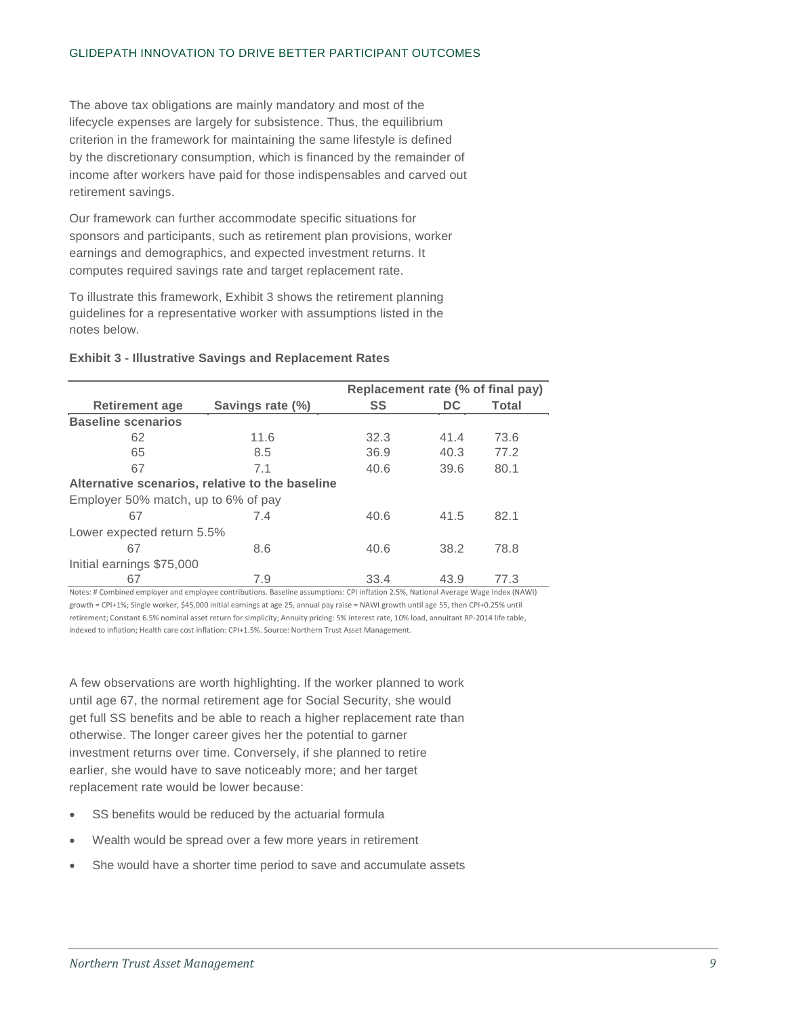## GLIDEPATH INNOVATION TO DRIVE BETTER PARTICIPANT OUTCOMES

The above tax obligations are mainly mandatory and most of the lifecycle expenses are largely for subsistence. Thus, the equilibrium criterion in the framework for maintaining the same lifestyle is defined by the discretionary consumption, which is financed by the remainder of income after workers have paid for those indispensables and carved out retirement savings.

Our framework can further accommodate specific situations for sponsors and participants, such as retirement plan provisions, worker earnings and demographics, and expected investment returns. It computes required savings rate and target replacement rate.

To illustrate this framework, Exhibit 3 shows the retirement planning guidelines for a representative worker with assumptions listed in the notes below.

# **Exhibit 3 - Illustrative Savings and Replacement Rates**

|                                                 |                  | Replacement rate (% of final pay) |      |       |  |  |  |  |
|-------------------------------------------------|------------------|-----------------------------------|------|-------|--|--|--|--|
| <b>Retirement age</b>                           | Savings rate (%) | <b>SS</b>                         | DC.  | Total |  |  |  |  |
| <b>Baseline scenarios</b>                       |                  |                                   |      |       |  |  |  |  |
| 62                                              | 11.6             | 32.3                              | 41.4 | 73.6  |  |  |  |  |
| 65                                              | 8.5              | 36.9                              | 40.3 | 77.2  |  |  |  |  |
| 67                                              | 7.1              | 40.6                              | 39.6 | 80.1  |  |  |  |  |
| Alternative scenarios, relative to the baseline |                  |                                   |      |       |  |  |  |  |
| Employer 50% match, up to 6% of pay             |                  |                                   |      |       |  |  |  |  |
| 67                                              | 7.4              | 40.6                              | 41.5 | 82.1  |  |  |  |  |
| Lower expected return 5.5%                      |                  |                                   |      |       |  |  |  |  |
| 67                                              | 8.6              | 40.6                              | 38.2 | 78.8  |  |  |  |  |
| Initial earnings \$75,000                       |                  |                                   |      |       |  |  |  |  |
| 67                                              | 7.9              | 33.4                              | 43.9 | 77.3  |  |  |  |  |

Notes: # Combined employer and employee contributions. Baseline assumptions: CPI inflation 2.5%, National Average Wage Index (NAWI) growth = CPI+1%; Single worker, \$45,000 initial earnings at age 25, annual pay raise = NAWI growth until age 55, then CPI+0.25% until retirement; Constant 6.5% nominal asset return for simplicity; Annuity pricing: 5% interest rate, 10% load, annuitant RP-2014 life table, indexed to inflation; Health care cost inflation: CPI+1.5%. Source: Northern Trust Asset Management.

A few observations are worth highlighting. If the worker planned to work until age 67, the normal retirement age for Social Security, she would get full SS benefits and be able to reach a higher replacement rate than otherwise. The longer career gives her the potential to garner investment returns over time. Conversely, if she planned to retire earlier, she would have to save noticeably more; and her target replacement rate would be lower because:

- SS benefits would be reduced by the actuarial formula
- Wealth would be spread over a few more years in retirement
- She would have a shorter time period to save and accumulate assets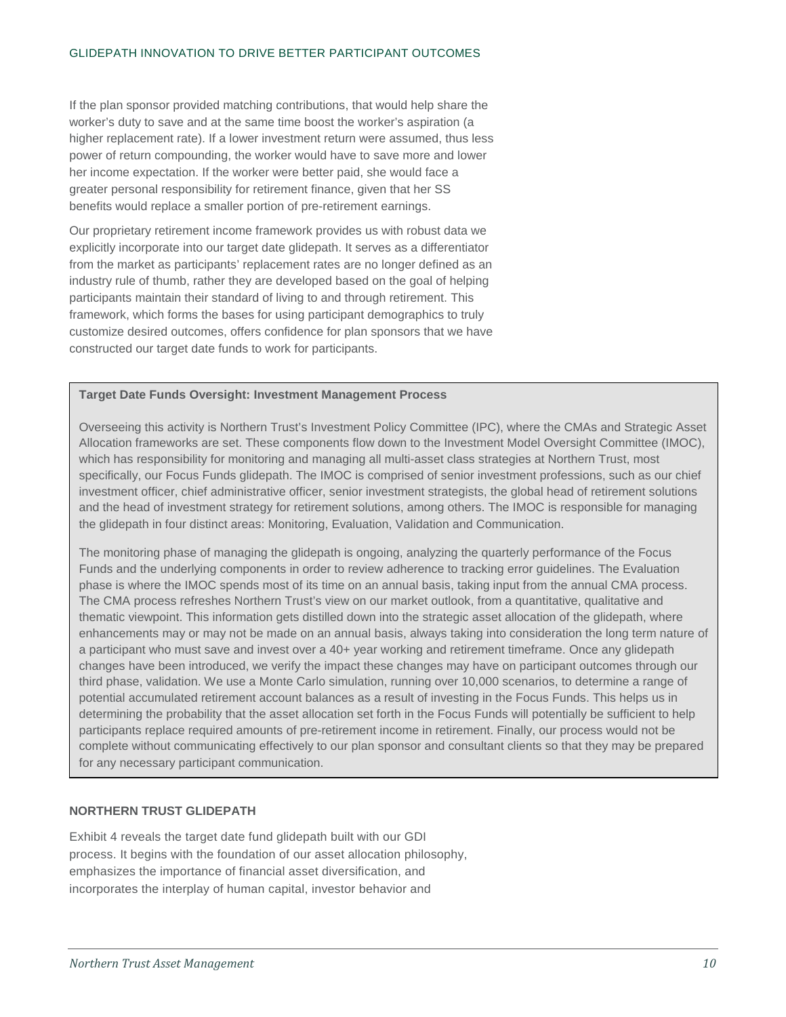If the plan sponsor provided matching contributions, that would help share the worker's duty to save and at the same time boost the worker's aspiration (a higher replacement rate). If a lower investment return were assumed, thus less power of return compounding, the worker would have to save more and lower her income expectation. If the worker were better paid, she would face a greater personal responsibility for retirement finance, given that her SS benefits would replace a smaller portion of pre-retirement earnings.

Our proprietary retirement income framework provides us with robust data we explicitly incorporate into our target date glidepath. It serves as a differentiator from the market as participants' replacement rates are no longer defined as an industry rule of thumb, rather they are developed based on the goal of helping participants maintain their standard of living to and through retirement. This framework, which forms the bases for using participant demographics to truly customize desired outcomes, offers confidence for plan sponsors that we have constructed our target date funds to work for participants.

# **Target Date Funds Oversight: Investment Management Process**

Overseeing this activity is Northern Trust's Investment Policy Committee (IPC), where the CMAs and Strategic Asset Allocation frameworks are set. These components flow down to the Investment Model Oversight Committee (IMOC), which has responsibility for monitoring and managing all multi-asset class strategies at Northern Trust, most specifically, our Focus Funds glidepath. The IMOC is comprised of senior investment professions, such as our chief investment officer, chief administrative officer, senior investment strategists, the global head of retirement solutions and the head of investment strategy for retirement solutions, among others. The IMOC is responsible for managing the glidepath in four distinct areas: Monitoring, Evaluation, Validation and Communication.

The monitoring phase of managing the glidepath is ongoing, analyzing the quarterly performance of the Focus Funds and the underlying components in order to review adherence to tracking error guidelines. The Evaluation phase is where the IMOC spends most of its time on an annual basis, taking input from the annual CMA process. The CMA process refreshes Northern Trust's view on our market outlook, from a quantitative, qualitative and thematic viewpoint. This information gets distilled down into the strategic asset allocation of the glidepath, where enhancements may or may not be made on an annual basis, always taking into consideration the long term nature of a participant who must save and invest over a 40+ year working and retirement timeframe. Once any glidepath changes have been introduced, we verify the impact these changes may have on participant outcomes through our third phase, validation. We use a Monte Carlo simulation, running over 10,000 scenarios, to determine a range of potential accumulated retirement account balances as a result of investing in the Focus Funds. This helps us in determining the probability that the asset allocation set forth in the Focus Funds will potentially be sufficient to help participants replace required amounts of pre-retirement income in retirement. Finally, our process would not be complete without communicating effectively to our plan sponsor and consultant clients so that they may be prepared for any necessary participant communication.

# **NORTHERN TRUST GLIDEPATH**

Exhibit 4 reveals the target date fund glidepath built with our GDI process. It begins with the foundation of our asset allocation philosophy, emphasizes the importance of financial asset diversification, and incorporates the interplay of human capital, investor behavior and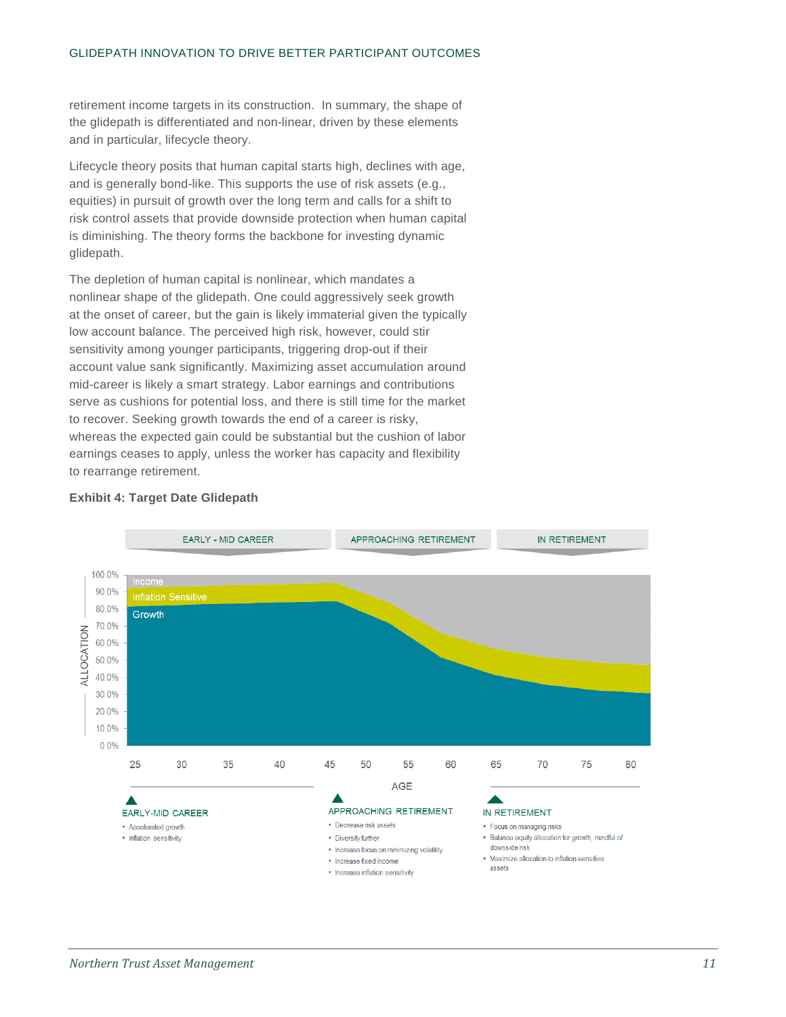retirement income targets in its construction. In summary, the shape of the glidepath is differentiated and non-linear, driven by these elements and in particular, lifecycle theory.

Lifecycle theory posits that human capital starts high, declines with age, and is generally bond-like. This supports the use of risk assets (e.g., equities) in pursuit of growth over the long term and calls for a shift to risk control assets that provide downside protection when human capital is diminishing. The theory forms the backbone for investing dynamic glidepath.

The depletion of human capital is nonlinear, which mandates a nonlinear shape of the glidepath. One could aggressively seek growth at the onset of career, but the gain is likely immaterial given the typically low account balance. The perceived high risk, however, could stir sensitivity among younger participants, triggering drop-out if their account value sank significantly. Maximizing asset accumulation around mid-career is likely a smart strategy. Labor earnings and contributions serve as cushions for potential loss, and there is still time for the market to recover. Seeking growth towards the end of a career is risky, whereas the expected gain could be substantial but the cushion of labor earnings ceases to apply, unless the worker has capacity and flexibility to rearrange retirement.



# **Exhibit 4: Target Date Glidepath**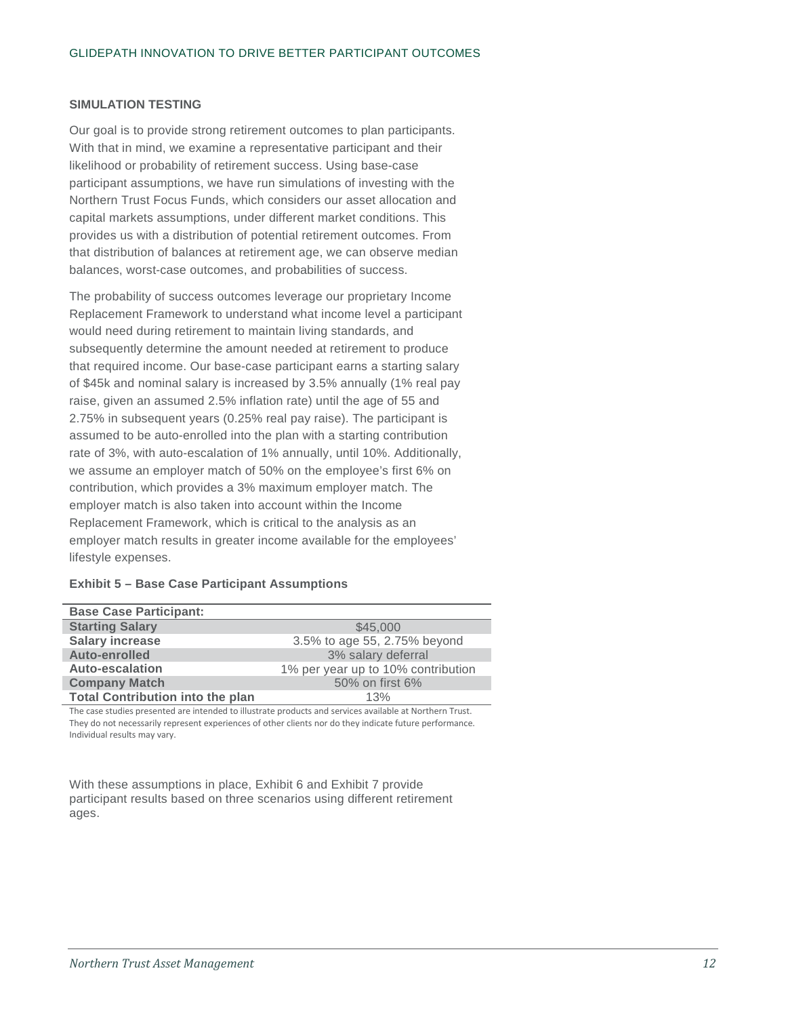## **SIMULATION TESTING**

Our goal is to provide strong retirement outcomes to plan participants. With that in mind, we examine a representative participant and their likelihood or probability of retirement success. Using base-case participant assumptions, we have run simulations of investing with the Northern Trust Focus Funds, which considers our asset allocation and capital markets assumptions, under different market conditions. This provides us with a distribution of potential retirement outcomes. From that distribution of balances at retirement age, we can observe median balances, worst-case outcomes, and probabilities of success.

The probability of success outcomes leverage our proprietary Income Replacement Framework to understand what income level a participant would need during retirement to maintain living standards, and subsequently determine the amount needed at retirement to produce that required income. Our base-case participant earns a starting salary of \$45k and nominal salary is increased by 3.5% annually (1% real pay raise, given an assumed 2.5% inflation rate) until the age of 55 and 2.75% in subsequent years (0.25% real pay raise). The participant is assumed to be auto-enrolled into the plan with a starting contribution rate of 3%, with auto-escalation of 1% annually, until 10%. Additionally, we assume an employer match of 50% on the employee's first 6% on contribution, which provides a 3% maximum employer match. The employer match is also taken into account within the Income Replacement Framework, which is critical to the analysis as an employer match results in greater income available for the employees' lifestyle expenses.

| <b>Base Case Participant:</b>           |                                    |
|-----------------------------------------|------------------------------------|
| <b>Starting Salary</b>                  | \$45,000                           |
| <b>Salary increase</b>                  | 3.5% to age 55, 2.75% beyond       |
| Auto-enrolled                           | 3% salary deferral                 |
| <b>Auto-escalation</b>                  | 1% per year up to 10% contribution |
| <b>Company Match</b>                    | 50% on first 6%                    |
| <b>Total Contribution into the plan</b> | 13%                                |

# **Exhibit 5 – Base Case Participant Assumptions**

The case studies presented are intended to illustrate products and services available at Northern Trust. They do not necessarily represent experiences of other clients nor do they indicate future performance. Individual results may vary.

With these assumptions in place, Exhibit 6 and Exhibit 7 provide participant results based on three scenarios using different retirement ages.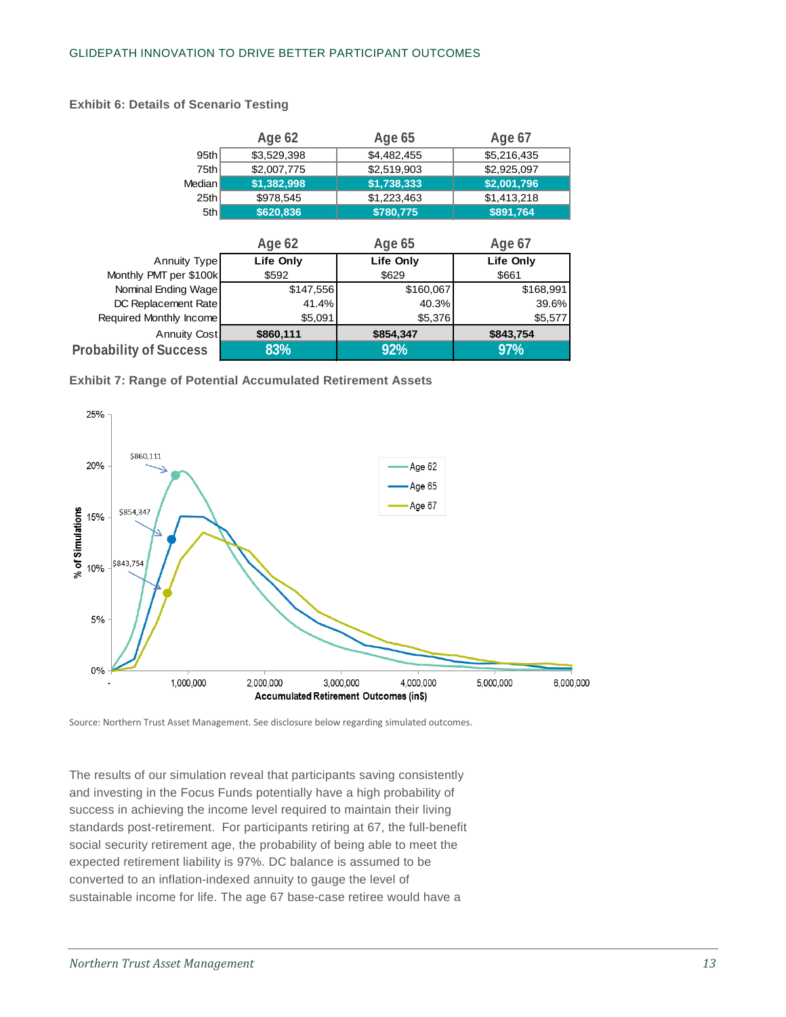|                               | Age 62      | Age 65      | Age 67      |  |  |
|-------------------------------|-------------|-------------|-------------|--|--|
| 95th                          | \$3,529,398 | \$4,482,455 | \$5,216,435 |  |  |
| 75th                          | \$2,007,775 | \$2,519,903 | \$2,925,097 |  |  |
| Median I                      | \$1,382,998 | \$1,738,333 | \$2,001,796 |  |  |
| 25th                          | \$978,545   | \$1,223,463 | \$1,413,218 |  |  |
| 5th                           | \$620,836   | \$780,775   | \$891,764   |  |  |
|                               |             |             |             |  |  |
|                               | Age 62      | Age 65      | Age 67      |  |  |
| Annuity Type                  | Life Only   | Life Only   | Life Only   |  |  |
| Monthly PMT per \$100k        | \$592       | \$629       | \$661       |  |  |
| Nominal Ending Wage           | \$147,556   | \$160,067   | \$168,991   |  |  |
| DC Replacement Rate           | 41.4%       | 40.3%       | 39.6%       |  |  |
| Required Monthly Income       | \$5,091     | \$5,376     | \$5,577     |  |  |
| Annuity Cost                  | \$860,111   | \$854,347   | \$843,754   |  |  |
| <b>Probability of Success</b> | 83%         | 92%         | 97%         |  |  |

## **Exhibit 6: Details of Scenario Testing**





Source: Northern Trust Asset Management. See disclosure below regarding simulated outcomes.

The results of our simulation reveal that participants saving consistently and investing in the Focus Funds potentially have a high probability of success in achieving the income level required to maintain their living standards post-retirement. For participants retiring at 67, the full-benefit social security retirement age, the probability of being able to meet the expected retirement liability is 97%. DC balance is assumed to be converted to an inflation-indexed annuity to gauge the level of sustainable income for life. The age 67 base-case retiree would have a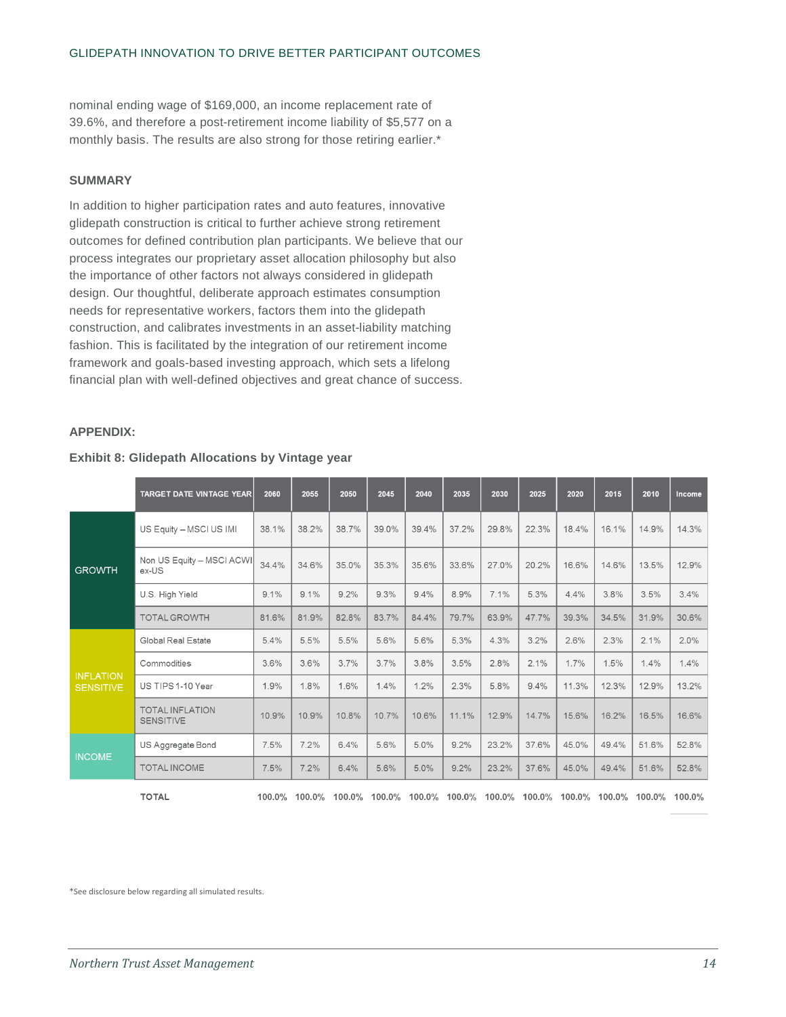nominal ending wage of \$169,000, an income replacement rate of 39.6%, and therefore a post-retirement income liability of \$5,577 on a monthly basis. The results are also strong for those retiring earlier.\*

## **SUMMARY**

In addition to higher participation rates and auto features, innovative glidepath construction is critical to further achieve strong retirement outcomes for defined contribution plan participants. We believe that our process integrates our proprietary asset allocation philosophy but also the importance of other factors not always considered in glidepath design. Our thoughtful, deliberate approach estimates consumption needs for representative workers, factors them into the glidepath construction, and calibrates investments in an asset-liability matching fashion. This is facilitated by the integration of our retirement income framework and goals-based investing approach, which sets a lifelong financial plan with well-defined objectives and great chance of success.

# **APPENDIX:**

#### **Exhibit 8: Glidepath Allocations by Vintage year**

|                                      | <b>TARGET DATE VINTAGE YEAR</b>            | 2060  | 2055                                      | 2050  | 2045  | 2040  | 2035  | 2030  | 2025  | 2020  | 2015                                      | 2010  | Income |
|--------------------------------------|--------------------------------------------|-------|-------------------------------------------|-------|-------|-------|-------|-------|-------|-------|-------------------------------------------|-------|--------|
| <b>GROWTH</b>                        | US Equity - MSCI US IMI                    | 38.1% | 38.2%                                     | 38.7% | 39.0% | 39.4% | 37.2% | 29.8% | 22.3% | 18.4% | 16.1%                                     | 14.9% | 14.3%  |
|                                      | Non US Equity - MSCI ACWI<br>ex-US         | 34.4% | 34.6%                                     | 35.0% | 35.3% | 35.6% | 33.6% | 27.0% | 20.2% | 16.6% | 14.6%                                     | 13.5% | 12.9%  |
|                                      | U.S. High Yield                            | 9.1%  | 9.1%                                      | 9.2%  | 9.3%  | 9.4%  | 8.9%  | 7.1%  | 5.3%  | 4.4%  | 3.8%                                      | 3.5%  | 3.4%   |
|                                      | <b>TOTAL GROWTH</b>                        | 81.6% | 81.9%                                     | 82.8% | 83.7% | 84.4% | 79.7% | 63.9% | 47.7% | 39.3% | 34.5%                                     | 31.9% | 30.6%  |
| <b>INFLATION</b><br><b>SENSITIVE</b> | Global Real Estate                         | 5.4%  | 5.5%                                      | 5.5%  | 5.6%  | 5.6%  | 5.3%  | 4.3%  | 3.2%  | 2.6%  | 2.3%                                      | 2.1%  | 2.0%   |
|                                      | Commodities                                | 3.6%  | 3.6%                                      | 3.7%  | 3.7%  | 3.8%  | 3.5%  | 2.8%  | 2.1%  | 1.7%  | 1.5%                                      | 1.4%  | 1.4%   |
|                                      | US TIPS 1-10 Year                          | 1.9%  | 1.8%                                      | 1.6%  | 1.4%  | 1.2%  | 2.3%  | 5.8%  | 9.4%  | 11.3% | 12.3%                                     | 12.9% | 13.2%  |
|                                      | <b>TOTAL INFLATION</b><br><b>SENSITIVE</b> | 10.9% | 10.9%                                     | 10.8% | 10.7% | 10.6% | 11.1% | 12.9% | 14.7% | 15.6% | 16.2%                                     | 16.5% | 16.6%  |
| <b>INCOME</b>                        | US Aggregate Bond                          | 7.5%  | 7.2%                                      | 6.4%  | 5.6%  | 5.0%  | 9.2%  | 23.2% | 37.6% | 45.0% | 49.4%                                     | 51.6% | 52.8%  |
|                                      | <b>TOTAL INCOME</b>                        | 7.5%  | 7.2%                                      | 6.4%  | 5.6%  | 5.0%  | 9.2%  | 23.2% | 37.6% | 45.0% | 49.4%                                     | 51.6% | 52.8%  |
|                                      | <b>TOTAL</b>                               |       | 100.0% 100.0% 100.0% 100.0% 100.0% 100.0% |       |       |       |       |       |       |       | 100.0% 100.0% 100.0% 100.0% 100.0% 100.0% |       |        |

\*See disclosure below regarding all simulated results.